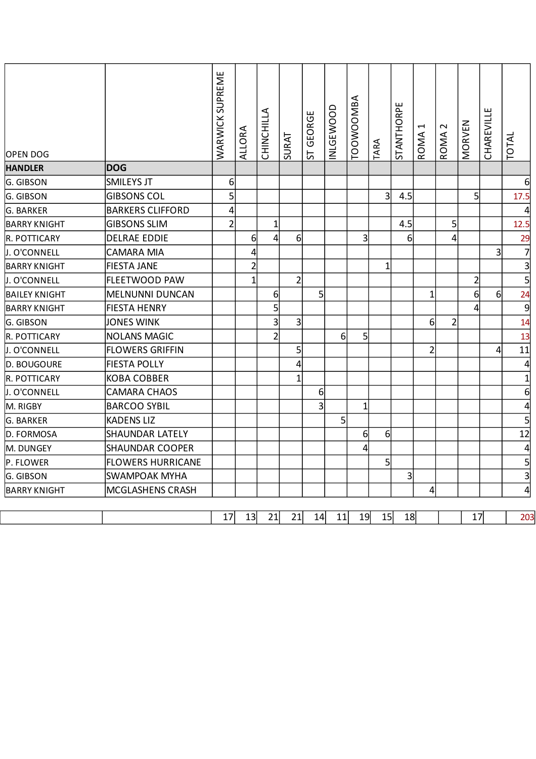| OPEN DOG             |                          | <b>WARWICK SUPREME</b> | <b>ALLORA</b>  | CHINCHILLA       | SURAT          | GEORGE<br>55   | <b>INLGEWOOD</b> | <b>TOOWOOMBA</b> | TARA           | STANTHORPE     | $\overline{\phantom{0}}$<br>ROMA | $\sim$<br>ROMA. | MORVEN         | CHAREVILLE     | <b>TOTAL</b>     |
|----------------------|--------------------------|------------------------|----------------|------------------|----------------|----------------|------------------|------------------|----------------|----------------|----------------------------------|-----------------|----------------|----------------|------------------|
| <b>HANDLER</b>       | <b>DOG</b>               |                        |                |                  |                |                |                  |                  |                |                |                                  |                 |                |                |                  |
| G. GIBSON            | <b>SMILEYS JT</b>        | 6                      |                |                  |                |                |                  |                  |                |                |                                  |                 |                |                | 61               |
| G. GIBSON            | <b>GIBSONS COL</b>       | 5                      |                |                  |                |                |                  |                  | $\overline{3}$ | 4.5            |                                  |                 | 5              |                | 17.5             |
| G. BARKER            | <b>BARKERS CLIFFORD</b>  | 4                      |                |                  |                |                |                  |                  |                |                |                                  |                 |                |                |                  |
| <b>BARRY KNIGHT</b>  | <b>GIBSONS SLIM</b>      | $\overline{2}$         |                | $\mathbf{1}$     |                |                |                  |                  |                | 4.5            |                                  | 5               |                |                | 12.5             |
| R. POTTICARY         | DELRAE EDDIE             |                        | 6              | $\overline{4}$   | 6              |                |                  | $\overline{3}$   |                | $6 \mid$       |                                  | 4               |                |                | 29               |
| J. O'CONNELL         | <b>CAMARA MIA</b>        |                        | 4              |                  |                |                |                  |                  |                |                |                                  |                 |                | $\overline{3}$ | $\overline{7}$   |
| <b>BARRY KNIGHT</b>  | <b>FIESTA JANE</b>       |                        | $\overline{2}$ |                  |                |                |                  |                  | $\mathbf{1}$   |                |                                  |                 |                |                | $\overline{3}$   |
| J. O'CONNELL         | <b>FLEETWOOD PAW</b>     |                        | $\mathbf{1}$   |                  | $\overline{2}$ |                |                  |                  |                |                |                                  |                 | $\overline{2}$ |                | $\mathsf{S}$     |
| <b>BAILEY KNIGHT</b> | MELNUNNI DUNCAN          |                        |                | $6 \overline{6}$ |                | 5 <sup>1</sup> |                  |                  |                |                | $\mathbf{1}$                     |                 | 6              | $6 \mid$       | 24               |
| <b>BARRY KNIGHT</b>  | <b>FIESTA HENRY</b>      |                        |                | $\overline{5}$   |                |                |                  |                  |                |                |                                  |                 | 4              |                | $\overline{9}$   |
| G. GIBSON            | <b>JONES WINK</b>        |                        |                | $\overline{3}$   | 3              |                |                  |                  |                |                | 6                                | $\overline{2}$  |                |                | 14               |
| R. POTTICARY         | NOLANS MAGIC             |                        |                | $\mathsf{2}$     |                |                | 6                | 5                |                |                |                                  |                 |                |                | 13               |
| J. O'CONNELL         | <b>FLOWERS GRIFFIN</b>   |                        |                |                  | 5              |                |                  |                  |                |                | $\overline{2}$                   |                 |                | 4              | 11               |
| D. BOUGOURE          | <b>FIESTA POLLY</b>      |                        |                |                  | 4              |                |                  |                  |                |                |                                  |                 |                |                | $\overline{4}$   |
| R. POTTICARY         | <b>KOBA COBBER</b>       |                        |                |                  | $\overline{1}$ |                |                  |                  |                |                |                                  |                 |                |                | $\mathbf{1}$     |
| J. O'CONNELL         | <b>CAMARA CHAOS</b>      |                        |                |                  |                | $6 \mid$       |                  |                  |                |                |                                  |                 |                |                | $6 \overline{6}$ |
| M. RIGBY             | <b>BARCOO SYBIL</b>      |                        |                |                  |                | $\overline{3}$ |                  | $\overline{1}$   |                |                |                                  |                 |                |                | $\overline{4}$   |
| G. BARKER            | <b>KADENS LIZ</b>        |                        |                |                  |                |                | 5 <sup>1</sup>   |                  |                |                |                                  |                 |                |                | 5 <sup>1</sup>   |
| D. FORMOSA           | <b>SHAUNDAR LATELY</b>   |                        |                |                  |                |                |                  | 6                | 6              |                |                                  |                 |                |                | 12               |
| M. DUNGEY            | <b>SHAUNDAR COOPER</b>   |                        |                |                  |                |                |                  | 4                |                |                |                                  |                 |                |                | $\overline{4}$   |
| P. FLOWER            | <b>FLOWERS HURRICANE</b> |                        |                |                  |                |                |                  |                  | 5              |                |                                  |                 |                |                | $\overline{5}$   |
| G. GIBSON            | SWAMPOAK MYHA            |                        |                |                  |                |                |                  |                  |                | $\overline{3}$ |                                  |                 |                |                | $\overline{3}$   |
| <b>BARRY KNIGHT</b>  | <b>MCGLASHENS CRASH</b>  |                        |                |                  |                |                |                  |                  |                |                | 4                                |                 |                |                | $\overline{4}$   |
|                      |                          | 17                     | 13             | 21               | 21             | 14             | 11               | 19               | 15             | 18             |                                  |                 | 17             |                | 203              |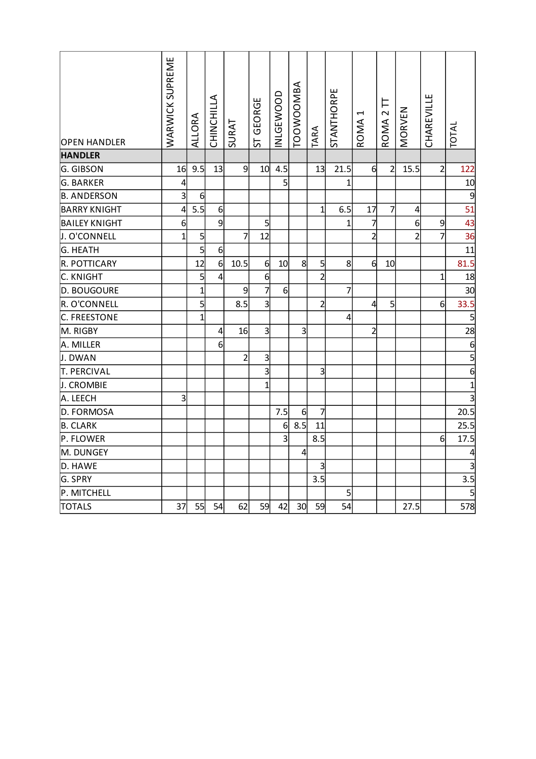| <b>OPEN HANDLER</b>  | <b>WARWICK SUPREME</b> | <b>ALLORA</b>  | CHINCHILLA | SURAT          | ST GEORGE               | NLGEWOOD | <b>TOOWOOMBA</b> | TARA           | <b>STANTHORPE</b> | $\overline{\phantom{0}}$<br>ROMA | ROMA <sub>2</sub> TT | MORVEN           | CHAREVILLE      | TOTAL          |
|----------------------|------------------------|----------------|------------|----------------|-------------------------|----------|------------------|----------------|-------------------|----------------------------------|----------------------|------------------|-----------------|----------------|
| <b>HANDLER</b>       |                        |                |            |                |                         |          |                  |                |                   |                                  |                      |                  |                 |                |
| G. GIBSON            | 16                     | 9.5            | 13         | $\overline{9}$ | 10                      | 4.5      |                  | 13             | 21.5              | $6 \overline{6}$                 | $\overline{2}$       | 15.5             | $\overline{2}$  | 122            |
| G. BARKER            | $\overline{a}$         |                |            |                |                         | 5        |                  |                | 1                 |                                  |                      |                  |                 | 10             |
| <b>B. ANDERSON</b>   | $\overline{3}$         | 6              |            |                |                         |          |                  |                |                   |                                  |                      |                  |                 | 9              |
| <b>BARRY KNIGHT</b>  | $\overline{4}$         | 5.5            | 6          |                |                         |          |                  | $\mathbf{1}$   | 6.5               | 17                               | $\overline{7}$       | $\overline{4}$   |                 | 51             |
| <b>BAILEY KNIGHT</b> | 6                      |                | 9          |                | 5                       |          |                  |                | 1                 | 7                                |                      | $6 \overline{6}$ | 9               | 43             |
| J. O'CONNELL         | $\mathbf{1}$           | $\overline{5}$ |            | 7              | 12                      |          |                  |                |                   | $\overline{2}$                   |                      | $\overline{2}$   | $\overline{7}$  | 36             |
| G. HEATH             |                        | $\overline{5}$ | 6          |                |                         |          |                  |                |                   |                                  |                      |                  |                 | 11             |
| R. POTTICARY         |                        | 12             | 6          | 10.5           | 6                       | 10       | 8                | 5              | 8                 | $\mathbf{d}$                     | 10                   |                  |                 | 81.5           |
| C. KNIGHT            |                        | 5              | 4          |                | 6                       |          |                  | $\mathsf{2}$   |                   |                                  |                      |                  | $\mathbf{1}$    | 18             |
| D. BOUGOURE          |                        | $\mathbf{1}$   |            | 9              | $\overline{7}$          | 6        |                  |                | $\overline{7}$    |                                  |                      |                  |                 | 30             |
| R. O'CONNELL         |                        | $\overline{5}$ |            | 8.5            | $\overline{3}$          |          |                  | $\overline{2}$ |                   | $\overline{4}$                   | 5                    |                  | 6               | 33.5           |
| C. FREESTONE         |                        | 1              |            |                |                         |          |                  |                | 4                 |                                  |                      |                  |                 | 5              |
| M. RIGBY             |                        |                | 4          | 16             | $\overline{3}$          |          | $\overline{3}$   |                |                   | $\overline{2}$                   |                      |                  |                 | 28             |
| A. MILLER            |                        |                | 6          |                |                         |          |                  |                |                   |                                  |                      |                  |                 | 6              |
| J. DWAN              |                        |                |            | $\overline{2}$ | $\overline{\mathbf{3}}$ |          |                  |                |                   |                                  |                      |                  |                 | 5              |
| <b>T. PERCIVAL</b>   |                        |                |            |                | $\overline{3}$          |          |                  | $\overline{3}$ |                   |                                  |                      |                  |                 | $\overline{6}$ |
| J. CROMBIE           |                        |                |            |                | $\mathbf 1$             |          |                  |                |                   |                                  |                      |                  |                 | $\mathbf{1}$   |
| A. LEECH             | $\overline{3}$         |                |            |                |                         |          |                  |                |                   |                                  |                      |                  |                 | 3              |
| D. FORMOSA           |                        |                |            |                |                         | 7.5      | $6 \mid$         | 7              |                   |                                  |                      |                  |                 | 20.5           |
| <b>B. CLARK</b>      |                        |                |            |                |                         | 6        | 8.5              | 11             |                   |                                  |                      |                  |                 | 25.5           |
| P. FLOWER            |                        |                |            |                |                         | 3        |                  | 8.5            |                   |                                  |                      |                  | $6 \overline{}$ | 17.5           |
| M. DUNGEY            |                        |                |            |                |                         |          | $\overline{4}$   |                |                   |                                  |                      |                  |                 |                |
| D. HAWE              |                        |                |            |                |                         |          |                  | $\overline{3}$ |                   |                                  |                      |                  |                 | 3              |
| G. SPRY              |                        |                |            |                |                         |          |                  | 3.5            |                   |                                  |                      |                  |                 | 3.5            |
| P. MITCHELL          |                        |                |            |                |                         |          |                  |                | 5                 |                                  |                      |                  |                 | $\overline{5}$ |
| <b>TOTALS</b>        | 37                     | 55             | 54         | 62             | 59                      | 42       | 30               | 59             | 54                |                                  |                      | 27.5             |                 | 578            |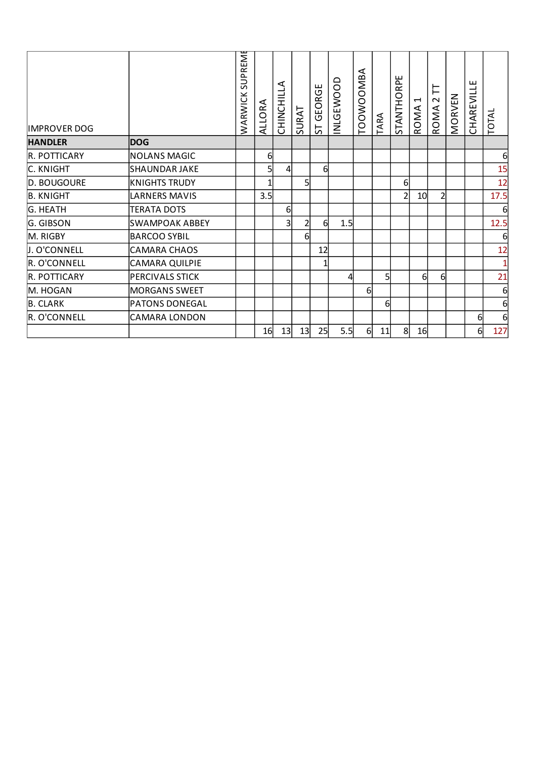| <b>IMPROVER DOG</b> |                       | <b>SUPREME</b><br>WARWICK | RA<br>$\circ$<br><b>ALL</b> | ⋖<br><b>CHINCHILL</b> | SURAT          | GEORGE<br>57 | <b>INLGEWOOD</b> | TOOWOOMBA | <b>ARA</b> | <b>STANTHORPE</b> | $\overline{\phantom{0}}$<br>ROMA | 片<br>$\sim$<br>ROMA | MORVEN | CHAREVILLE | TOTAL        |
|---------------------|-----------------------|---------------------------|-----------------------------|-----------------------|----------------|--------------|------------------|-----------|------------|-------------------|----------------------------------|---------------------|--------|------------|--------------|
| <b>HANDLER</b>      | <b>DOG</b>            |                           |                             |                       |                |              |                  |           |            |                   |                                  |                     |        |            |              |
| R. POTTICARY        | <b>NOLANS MAGIC</b>   |                           | 6                           |                       |                |              |                  |           |            |                   |                                  |                     |        |            | 6            |
| C. KNIGHT           | <b>SHAUNDAR JAKE</b>  |                           |                             | 4                     |                | 6            |                  |           |            |                   |                                  |                     |        |            | 15           |
| D. BOUGOURE         | <b>KNIGHTS TRUDY</b>  |                           |                             |                       | 5              |              |                  |           |            | $6 \mid$          |                                  |                     |        |            | 12           |
| <b>B. KNIGHT</b>    | <b>LARNERS MAVIS</b>  |                           | 3.5                         |                       |                |              |                  |           |            | $\overline{2}$    | 10 <sub>l</sub>                  | $\overline{2}$      |        |            | 17.5         |
| <b>G. HEATH</b>     | <b>TERATA DOTS</b>    |                           |                             | 61                    |                |              |                  |           |            |                   |                                  |                     |        |            | 6            |
| G. GIBSON           | <b>SWAMPOAK ABBEY</b> |                           |                             | 3                     | $\overline{2}$ | 61           | 1.5              |           |            |                   |                                  |                     |        |            | 12.5         |
| M. RIGBY            | <b>BARCOO SYBIL</b>   |                           |                             |                       | 6              |              |                  |           |            |                   |                                  |                     |        |            | 6            |
| J. O'CONNELL        | <b>CAMARA CHAOS</b>   |                           |                             |                       |                | 12           |                  |           |            |                   |                                  |                     |        |            | 12           |
| R. O'CONNELL        | <b>CAMARA QUILPIE</b> |                           |                             |                       |                |              |                  |           |            |                   |                                  |                     |        |            | $\mathbf{1}$ |
| R. POTTICARY        | PERCIVALS STICK       |                           |                             |                       |                |              | 4                |           | 5          |                   | 61                               | 6                   |        |            | 21           |
| M. HOGAN            | <b>MORGANS SWEET</b>  |                           |                             |                       |                |              |                  | 61        |            |                   |                                  |                     |        |            | 6            |
| <b>B. CLARK</b>     | <b>PATONS DONEGAL</b> |                           |                             |                       |                |              |                  |           | $6 \mid$   |                   |                                  |                     |        |            | 6            |
| R. O'CONNELL        | <b>CAMARA LONDON</b>  |                           |                             |                       |                |              |                  |           |            |                   |                                  |                     |        | 6          | 6            |
|                     |                       |                           | 16                          | 13                    | 13             | 25           | 5.5              | 6         | 11         | 8                 | 16                               |                     |        | $6 \mid$   | 127          |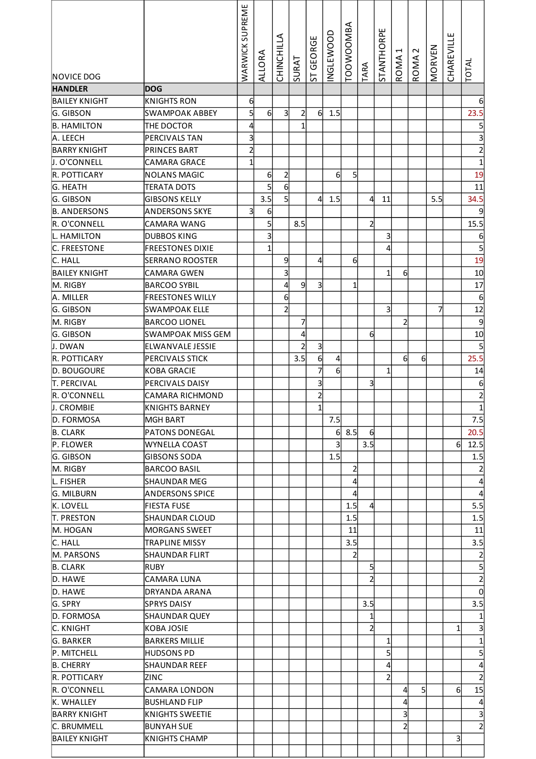| NOVICE DOG              |                                  | SUPREME<br>WARWICK      | <b>ALLORA</b>           | CHINCHILLA              | <b>SURAT</b>   | GEORGE<br>55            | <b>INGLEWOOD</b> | TOOWOOMBA      | TARA           | <b>STANTHORPE</b> | ↤<br>ROMA | $\sim$<br>ROMA | MORVEN | CHAREVILLE     | TOTAL                   |
|-------------------------|----------------------------------|-------------------------|-------------------------|-------------------------|----------------|-------------------------|------------------|----------------|----------------|-------------------|-----------|----------------|--------|----------------|-------------------------|
| <b>HANDLER</b>          | <b>DOG</b>                       |                         |                         |                         |                |                         |                  |                |                |                   |           |                |        |                |                         |
| <b>BAILEY KNIGHT</b>    | KNIGHTS RON                      | $6 \mid$                |                         |                         |                |                         |                  |                |                |                   |           |                |        |                | $6 \mid$                |
| G. GIBSON               | <b>SWAMPOAK ABBEY</b>            | $\mathsf{S}$            | 6                       | 3                       | $\overline{2}$ | $6 \mid$                | 1.5              |                |                |                   |           |                |        |                | 23.5                    |
| <b>B. HAMILTON</b>      | THE DOCTOR                       | $\overline{4}$          |                         |                         |                |                         |                  |                |                |                   |           |                |        |                |                         |
| A. LEECH                | PERCIVALS TAN                    | $\overline{3}$          |                         |                         |                |                         |                  |                |                |                   |           |                |        |                | $\overline{\mathbf{3}}$ |
| <b>BARRY KNIGHT</b>     | <b>PRINCES BART</b>              | $\overline{c}$          |                         |                         |                |                         |                  |                |                |                   |           |                |        |                | $\overline{2}$          |
| J. O'CONNELL            | <b>CAMARA GRACE</b>              | $\mathbf{1}$            |                         |                         |                |                         |                  |                |                |                   |           |                |        |                | 1                       |
| R. POTTICARY            | NOLANS MAGIC                     |                         | 6                       | $\overline{a}$          |                |                         | 6                | 5              |                |                   |           |                |        |                | 19                      |
| G. HEATH                | <b>TERATA DOTS</b>               |                         | 5                       | 6                       |                |                         |                  |                |                |                   |           |                |        |                | 11                      |
| G. GIBSON               | <b>GIBSONS KELLY</b>             |                         | 3.5                     | $\mathsf{S}$            |                | 4                       | 1.5              |                | 4              | 11                |           |                | 5.5    |                | 34.5                    |
| <b>B. ANDERSONS</b>     | <b>ANDERSONS SKYE</b>            | $\overline{\mathbf{3}}$ | 6                       |                         |                |                         |                  |                |                |                   |           |                |        |                | 9                       |
| R. O'CONNELL            | CAMARA WANG                      |                         | 5                       |                         | 8.5            |                         |                  |                | $\mathbf{z}$   |                   |           |                |        |                | 15.5                    |
| L. HAMILTON             | <b>DUBBOS KING</b>               |                         | $\overline{\mathbf{3}}$ |                         |                |                         |                  |                |                | 3                 |           |                |        |                | $6 \overline{}$         |
| <b>C. FREESTONE</b>     | <b>FREESTONES DIXIE</b>          |                         | 1                       |                         |                |                         |                  |                |                | 4                 |           |                |        |                | $\overline{5}$          |
| C. HALL                 | <b>SERRANO ROOSTER</b>           |                         |                         | 9                       |                | $\frac{4}{3}$           |                  | 6              |                |                   |           |                |        |                | 19                      |
| <b>BAILEY KNIGHT</b>    | <b>CAMARA GWEN</b>               |                         |                         | 3                       |                |                         |                  |                |                | 1                 | 6         |                |        |                | 10                      |
| M. RIGBY                | <b>BARCOO SYBIL</b>              |                         |                         | $\overline{\mathbf{r}}$ | 9              | $\overline{\mathsf{3}}$ |                  | $\mathbf{1}$   |                |                   |           |                |        |                | 17                      |
| A. MILLER               | <b>FREESTONES WILLY</b>          |                         |                         | $\boldsymbol{6}$        |                |                         |                  |                |                |                   |           |                |        |                | $6 \overline{6}$        |
| G. GIBSON               | <b>SWAMPOAK ELLE</b>             |                         |                         | $\overline{2}$          |                |                         |                  |                |                | 3                 |           |                | 7      |                | 12                      |
| M. RIGBY                | <b>BARCOO LIONEL</b>             |                         |                         |                         | 7              |                         |                  |                |                |                   | 2         |                |        |                | $\overline{9}$          |
| G. GIBSON               | <b>SWAMPOAK MISS GEM</b>         |                         |                         |                         | 4              |                         |                  |                | 6              |                   |           |                |        |                | 10                      |
| J. DWAN                 | <b>ELWANVALE JESSIE</b>          |                         |                         |                         | 2              | $\frac{3}{2}$           |                  |                |                |                   |           |                |        |                | $\overline{5}$          |
| R. POTTICARY            | PERCIVALS STICK                  |                         |                         |                         | 3.5            | 6                       | 4                |                |                |                   | 6         | 6              |        |                | 25.5                    |
| D. BOUGOURE             | KOBA GRACIE                      |                         |                         |                         |                | 7                       | 6                |                |                | $\mathbf{1}$      |           |                |        |                | 14                      |
| <b>T. PERCIVAL</b>      | PERCIVALS DAISY                  |                         |                         |                         |                | $\overline{\mathsf{3}}$ |                  |                | 3              |                   |           |                |        |                | $6 \mid$                |
| R. O'CONNELL            | <b>CAMARA RICHMOND</b>           |                         |                         |                         |                | $\overline{c}$          |                  |                |                |                   |           |                |        |                | $\overline{2}$          |
| <b>J. CROMBIE</b>       | IKNIGHTS BARNEY                  |                         |                         |                         |                | $1\vert$                |                  |                |                |                   |           |                |        |                | $\mathbf{1}$            |
| D. FORMOSA              | lMGH BART                        |                         |                         |                         |                |                         | 7.5              |                |                |                   |           |                |        |                | 7.5                     |
| <b>B. CLARK</b>         | PATONS DONEGAL                   |                         |                         |                         |                |                         | $6 \mid$         | 8.5            | 6              |                   |           |                |        |                | 20.5                    |
| P. FLOWER               | <b>WYNELLA COAST</b>             |                         |                         |                         |                |                         | 3                |                | 3.5            |                   |           |                |        | 6              | 12.5                    |
| G. GIBSON               | <b>GIBSONS SODA</b>              |                         |                         |                         |                |                         | 1.5              |                |                |                   |           |                |        |                | 1.5                     |
| M. RIGBY                | <b>BARCOO BASIL</b>              |                         |                         |                         |                |                         |                  | 2              |                |                   |           |                |        |                |                         |
| L. FISHER               | SHAUNDAR MEG                     |                         |                         |                         |                |                         |                  | $\overline{4}$ |                |                   |           |                |        |                | $\overline{4}$          |
| G. MILBURN              | <b>ANDERSONS SPICE</b>           |                         |                         |                         |                |                         |                  | 4<br>1.5       |                |                   |           |                |        |                | 4                       |
| K. LOVELL               | FIESTA FUSE                      |                         |                         |                         |                |                         |                  | 1.5            | $\overline{4}$ |                   |           |                |        |                | 5.5<br>1.5              |
| IT. PRESTON<br>M. HOGAN | SHAUNDAR CLOUD<br>IMORGANS SWEET |                         |                         |                         |                |                         |                  | 11             |                |                   |           |                |        |                | 11                      |
| C. HALL                 | TRAPLINE MISSY                   |                         |                         |                         |                |                         |                  | 3.5            |                |                   |           |                |        |                | 3.5                     |
| M. PARSONS              | ISHAUNDAR FLIRT                  |                         |                         |                         |                |                         |                  | $\overline{a}$ |                |                   |           |                |        |                | $\overline{2}$          |
| <b>B. CLARK</b>         | IRUBY                            |                         |                         |                         |                |                         |                  |                | 5              |                   |           |                |        |                | 5                       |
| D. HAWE                 | CAMARA LUNA                      |                         |                         |                         |                |                         |                  |                | $\mathbf{z}$   |                   |           |                |        |                | $\overline{2}$          |
| D. HAWE                 | DRYANDA ARANA                    |                         |                         |                         |                |                         |                  |                |                |                   |           |                |        |                | $\Omega$                |
| G. SPRY                 | <b>SPRYS DAISY</b>               |                         |                         |                         |                |                         |                  |                | 3.5            |                   |           |                |        |                | 3.5                     |
| D. FORMOSA              | SHAUNDAR QUEY                    |                         |                         |                         |                |                         |                  |                | $\mathbf{1}$   |                   |           |                |        |                |                         |
| C. KNIGHT               | KOBA JOSIE                       |                         |                         |                         |                |                         |                  |                | $\mathbf{z}$   |                   |           |                |        |                | 3                       |
| G. BARKER               | BARKERS MILLIE                   |                         |                         |                         |                |                         |                  |                |                | 1                 |           |                |        |                | 1                       |
| P. MITCHELL             | HUDSONS PD                       |                         |                         |                         |                |                         |                  |                |                | $5\overline{a}$   |           |                |        |                | 5                       |
| <b>B. CHERRY</b>        | SHAUNDAR REEF                    |                         |                         |                         |                |                         |                  |                |                | 4                 |           |                |        |                | $\overline{4}$          |
| IR. POTTICARY           | ZINC                             |                         |                         |                         |                |                         |                  |                |                | 2                 |           |                |        |                | $\overline{2}$          |
| IR. O'CONNELL           | CAMARA LONDON                    |                         |                         |                         |                |                         |                  |                |                |                   | 4         | 5              |        | $6 \mid$       | 15                      |
| K. WHALLEY              | BUSHLAND FLIP                    |                         |                         |                         |                |                         |                  |                |                |                   | 4         |                |        |                | $\overline{4}$          |
| <b>BARRY KNIGHT</b>     | KNIGHTS SWEETIE                  |                         |                         |                         |                |                         |                  |                |                |                   | 3         |                |        |                | $\overline{3}$          |
| C. BRUMMELL             | BUNYAH SUE                       |                         |                         |                         |                |                         |                  |                |                |                   | 2         |                |        |                | $\overline{2}$          |
| <b>BAILEY KNIGHT</b>    | KNIGHTS CHAMP                    |                         |                         |                         |                |                         |                  |                |                |                   |           |                |        | $\overline{3}$ |                         |
|                         |                                  |                         |                         |                         |                |                         |                  |                |                |                   |           |                |        |                |                         |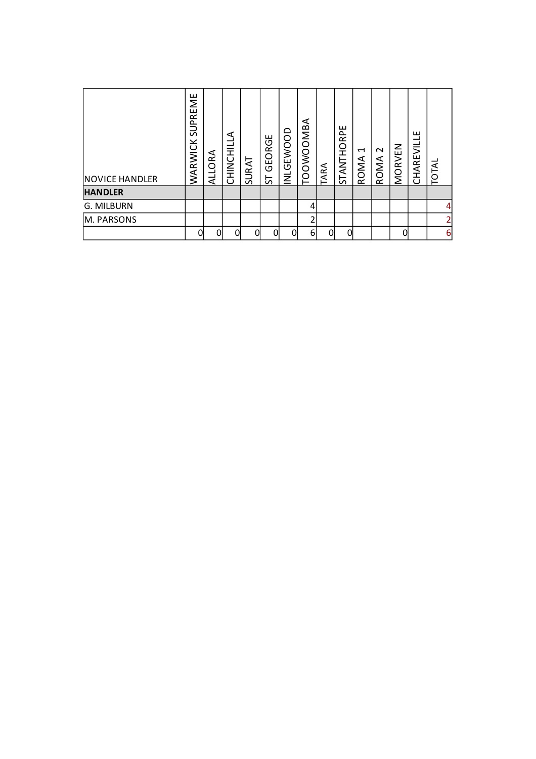| <b>NOVICE HANDLER</b><br><b>HANDLER</b> | SUPREME<br>WARWICK | ALLORA | CHINCHILLA | SURAT | GEORGE<br>55 | ≏<br><b>INLGEWOO</b> | ⋖<br>OOWOOMB | ARA | ш<br>$\sim$<br>œ<br>STANTHO | $\overline{\phantom{0}}$<br>ROMA | $\sim$<br>ROMA | MORVEN | ш<br>CHAREVILL | TOTAL |                |
|-----------------------------------------|--------------------|--------|------------|-------|--------------|----------------------|--------------|-----|-----------------------------|----------------------------------|----------------|--------|----------------|-------|----------------|
| G. MILBURN                              |                    |        |            |       |              |                      | 4            |     |                             |                                  |                |        |                |       | $\overline{a}$ |
| M. PARSONS                              |                    |        |            |       |              |                      | ำ            |     |                             |                                  |                |        |                |       | $\overline{2}$ |
|                                         | Ωl                 | Ωl     | U          | ∩     | N            |                      | 6            | n   | ∩                           |                                  |                | ሰ      |                |       | 6              |